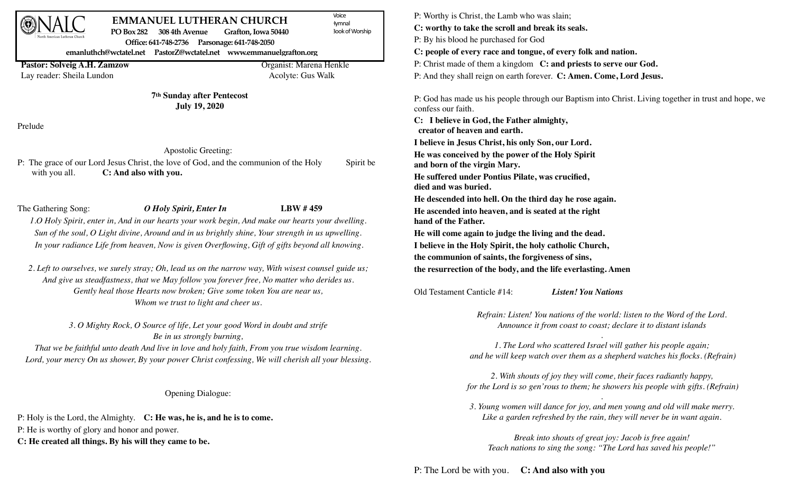| North American Lutheran Church |  |
|--------------------------------|--|

## **EMMANUEL LUTHERAN CHURCH PO Box 282 308 4th Avenue Grafton, Iowa 50440**

Voice **Iymnal Book of Worship** 

**Office: 641-748-2736 Parsonage: 641-748-2050**

**emanluthch@wctatel.net PastorZ@wctatel.net www.emmanuelgrafton.org**

**Pastor: Solveig A.H. Zamzow Organist: Marena Henkle** 

Lay reader: Sheila Lundon Acolyte: Gus Walk

**7th Sunday after Pentecost July 19, 2020**

Prelude

## Apostolic Greeting:

P: The grace of our Lord Jesus Christ, the love of God, and the communion of the Holy Spirit be with you all. **C: And also with you.**

The Gathering Song: *O Holy Spirit, Enter In* **LBW # 459** *1.O Holy Spirit, enter in, And in our hearts your work begin, And make our hearts your dwelling. Sun of the soul, O Light divine, Around and in us brightly shine, Your strength in us upwelling. In your radiance Life from heaven, Now is given Overflowing, Gift of gifts beyond all knowing.*

*2. Left to ourselves, we surely stray; Oh, lead us on the narrow way, With wisest counsel guide us; And give us steadfastness, that we May follow you forever free, No matter who derides us. Gently heal those Hearts now broken; Give some token You are near us, Whom we trust to light and cheer us.*

> *3. O Mighty Rock, O Source of life, Let your good Word in doubt and strife Be in us strongly burning,*

*That we be faithful unto death And live in love and holy faith, From you true wisdom learning. Lord, your mercy On us shower, By your power Christ confessing, We will cherish all your blessing.* 

Opening Dialogue:

P: Holy is the Lord, the Almighty. **C: He was, he is, and he is to come.** P: He is worthy of glory and honor and power. **C: He created all things. By his will they came to be.**

P: Worthy is Christ, the Lamb who was slain; **C: worthy to take the scroll and break its seals.** P: By his blood he purchased for God **C: people of every race and tongue, of every folk and nation.**  P: Christ made of them a kingdom **C: and priests to serve our God.** P: And they shall reign on earth forever. **C: Amen. Come, Lord Jesus.**

P: God has made us his people through our Baptism into Christ. Living together in trust and hope, we confess our faith.

**C: I believe in God, the Father almighty, creator of heaven and earth.**

**I believe in Jesus Christ, his only Son, our Lord.** 

**He was conceived by the power of the Holy Spirit and born of the virgin Mary.**

**He suffered under Pontius Pilate, was crucified, died and was buried.**

**He descended into hell. On the third day he rose again. He ascended into heaven, and is seated at the right hand of the Father.**

**He will come again to judge the living and the dead.** 

**I believe in the Holy Spirit, the holy catholic Church,**

**the communion of saints, the forgiveness of sins,**

**the resurrection of the body, and the life everlasting. Amen** 

Old Testament Canticle #14: *Listen! You Nations*

*Refrain: Listen! You nations of the world: listen to the Word of the Lord. Announce it from coast to coast; declare it to distant islands*

*. 1. The Lord who scattered Israel will gather his people again; and he will keep watch over them as a shepherd watches his flocks. (Refrain)*

*2. With shouts of joy they will come, their faces radiantly happy, for the Lord is so gen'rous to them; he showers his people with gifts. (Refrain)*

*. 3. Young women will dance for joy, and men young and old will make merry. Like a garden refreshed by the rain, they will never be in want again.*

*Break into shouts of great joy: Jacob is free again! Teach nations to sing the song: "The Lord has saved his people!"*

P: The Lord be with you. **C: And also with you**